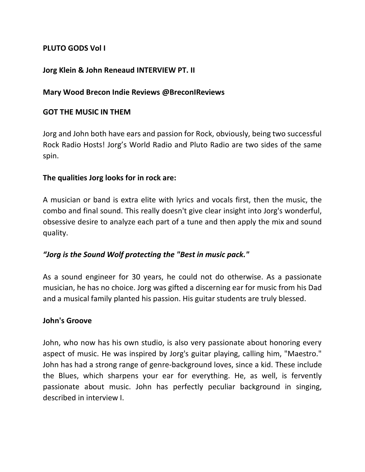### **PLUTO GODS Vol I**

#### **Jorg Klein & John Reneaud INTERVIEW PT. II**

#### **Mary Wood Brecon Indie Reviews @BreconIReviews**

#### **GOT THE MUSIC IN THEM**

Jorg and John both have ears and passion for Rock, obviously, being two successful Rock Radio Hosts! Jorg's World Radio and Pluto Radio are two sides of the same spin.

#### **The qualities Jorg looks for in rock are:**

A musician or band is extra elite with lyrics and vocals first, then the music, the combo and final sound. This really doesn't give clear insight into Jorg's wonderful, obsessive desire to analyze each part of a tune and then apply the mix and sound quality.

### *"Jorg is the Sound Wolf protecting the "Best in music pack."*

As a sound engineer for 30 years, he could not do otherwise. As a passionate musician, he has no choice. Jorg was gifted a discerning ear for music from his Dad and a musical family planted his passion. His guitar students are truly blessed.

#### **John's Groove**

John, who now has his own studio, is also very passionate about honoring every aspect of music. He was inspired by Jorg's guitar playing, calling him, "Maestro." John has had a strong range of genre-background loves, since a kid. These include the Blues, which sharpens your ear for everything. He, as well, is fervently passionate about music. John has perfectly peculiar background in singing, described in interview I.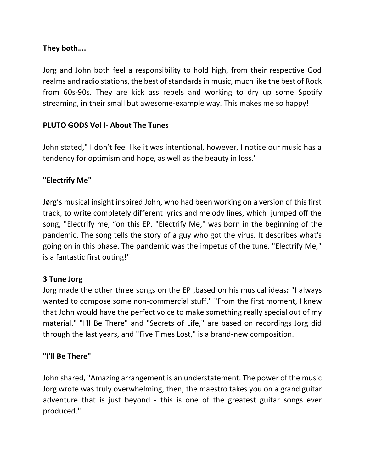# **They both….**

Jorg and John both feel a responsibility to hold high, from their respective God realms and radio stations, the best of standards in music, much like the best of Rock from 60s-90s. They are kick ass rebels and working to dry up some Spotify streaming, in their small but awesome-example way. This makes me so happy!

# **PLUTO GODS Vol I- About The Tunes**

John stated," I don't feel like it was intentional, however, I notice our music has a tendency for optimism and hope, as well as the beauty in loss."

# **"Electrify Me"**

Jørg's musical insight inspired John, who had been working on a version of this first track, to write completely different lyrics and melody lines, which jumped off the song, "Electrify me, "on this EP. "Electrify Me," was born in the beginning of the pandemic. The song tells the story of a guy who got the virus. It describes what's going on in this phase. The pandemic was the impetus of the tune. "Electrify Me," is a fantastic first outing!"

# **3 Tune Jorg**

Jorg made the other three songs on the EP ,based on his musical ideas**:** "I always wanted to compose some non-commercial stuff." "From the first moment, I knew that John would have the perfect voice to make something really special out of my material." "I'll Be There" and "Secrets of Life," are based on recordings Jorg did through the last years, and "Five Times Lost," is a brand-new composition.

# **"I'll Be There"**

John shared, "Amazing arrangement is an understatement. The power of the music Jorg wrote was truly overwhelming, then, the maestro takes you on a grand guitar adventure that is just beyond - this is one of the greatest guitar songs ever produced."